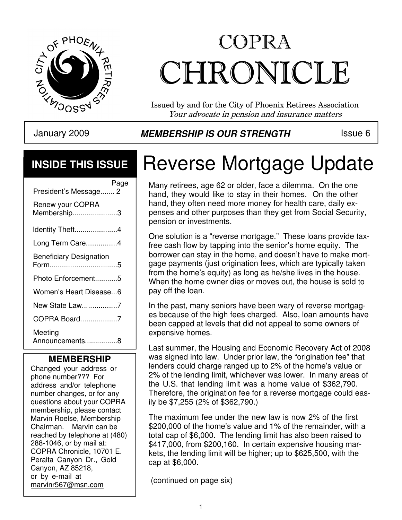

# COPRA CHRONICLE

Issued by and for the City of Phoenix Retirees Association Your advocate in pension and insurance matters

#### January 2009 **MEMBERSHIP IS OUR STRENGTH** Issue 6

### **INSIDE THIS ISSUE**

| Page<br>President's Message 2                      |  |
|----------------------------------------------------|--|
| Renew your COPRA<br>Membership3                    |  |
| Identity Theft4                                    |  |
| Long Term Care4                                    |  |
| <b>Beneficiary Designation</b><br>Form……………………………5 |  |
| Photo Enforcement5                                 |  |
| Women's Heart Disease6                             |  |
| New State Law7                                     |  |
| COPRA Board7                                       |  |
| Meeting<br>Announcements8                          |  |

#### **MEMBERSHIP**

Changed your address or phone number??? For address and/or telephone number changes, or for any questions about your COPRA membership, please contact Marvin Roelse, Membership Chairman. Marvin can be reached by telephone at (480) 288-1046, or by mail at: COPRA Chronicle, 10701 E. Peralta Canyon Dr., Gold Canyon, AZ 85218, or by e-mail at marvinr567@msn.com

## Reverse Mortgage Update

Many retirees, age 62 or older, face a dilemma. On the one hand, they would like to stay in their homes. On the other hand, they often need more money for health care, daily expenses and other purposes than they get from Social Security, pension or investments.

One solution is a "reverse mortgage." These loans provide taxfree cash flow by tapping into the senior's home equity. The borrower can stay in the home, and doesn't have to make mortgage payments (just origination fees, which are typically taken from the home's equity) as long as he/she lives in the house. When the home owner dies or moves out, the house is sold to pay off the loan.

In the past, many seniors have been wary of reverse mortgages because of the high fees charged. Also, loan amounts have been capped at levels that did not appeal to some owners of expensive homes.

 Last summer, the Housing and Economic Recovery Act of 2008 was signed into law. Under prior law, the "origination fee" that lenders could charge ranged up to 2% of the home's value or 2% of the lending limit, whichever was lower. In many areas of the U.S. that lending limit was a home value of \$362,790. Therefore, the origination fee for a reverse mortgage could easily be \$7,255 (2% of \$362,790.)

The maximum fee under the new law is now 2% of the first \$200,000 of the home's value and 1% of the remainder, with a total cap of \$6,000. The lending limit has also been raised to \$417,000, from \$200,160. In certain expensive housing markets, the lending limit will be higher; up to \$625,500, with the cap at \$6,000.

(continued on page six)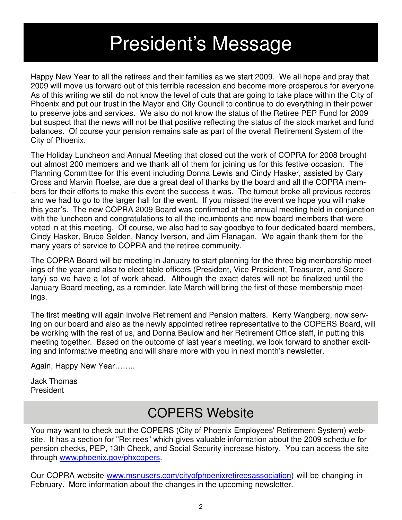## President's Message

Happy New Year to all the retirees and their families as we start 2009. We all hope and pray that 2009 will move us forward out of this terrible recession and become more prosperous for everyone. As of this writing we still do not know the level of cuts that are going to take place within the City of Phoenix and put our trust in the Mayor and City Council to continue to do everything in their power to preserve jobs and services. We also do not know the status of the Retiree PEP Fund for 2009 but suspect that the news will not be that positive reflecting the status of the stock market and fund balances. Of course your pension remains safe as part of the overall Retirement System of the City of Phoenix.

The Holiday Luncheon and Annual Meeting that closed out the work of COPRA for 2008 brought out almost 200 members and we thank all of them for joining us for this festive occasion. The Planning Committee for this event including Donna Lewis and Cindy Hasker, assisted by Gary Gross and Marvin Roelse, are due a great deal of thanks by the board and all the COPRA members for their efforts to make this event the success it was. The turnout broke all previous records and we had to go to the larger hall for the event. If you missed the event we hope you will make this year's. The new COPRA 2009 Board was confirmed at the annual meeting held in conjunction with the luncheon and congratulations to all the incumbents and new board members that were voted in at this meeting. Of course, we also had to say goodbye to four dedicated board members, Cindy Hasker, Bruce Selden, Nancy Iverson, and Jim Flanagan. We again thank them for the many years of service to COPRA and the retiree community.

The COPRA Board will be meeting in January to start planning for the three big membership meetings of the year and also to elect table officers (President, Vice-President, Treasurer, and Secretary) so we have a lot of work ahead. Although the exact dates will not be finalized until the January Board meeting, as a reminder, late March will bring the first of these membership meetings.

The first meeting will again involve Retirement and Pension matters. Kerry Wangberg, now serving on our board and also as the newly appointed retiree representative to the COPERS Board, will be working with the rest of us, and Donna Beulow and her Retirement Office staff, in putting this meeting together. Based on the outcome of last year's meeting, we look forward to another exciting and informative meeting and will share more with you in next month's newsletter.

Again, Happy New Year……..

Jack Thomas President

### COPERS Website

You may want to check out the COPERS (City of Phoenix Employees' Retirement System) website. It has a section for "Retirees" which gives valuable information about the 2009 schedule for pension checks, PEP, 13th Check, and Social Security increase history. You can access the site through www.phoenix.gov/phxcopers.

Our COPRA website www.msnusers.com/cityofphoenixretireesassociation) will be changing in February. More information about the changes in the upcoming newsletter.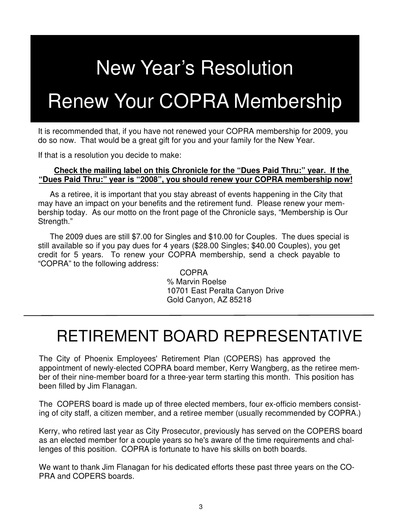## New Year's Resolution

## Renew Your COPRA Membership

It is recommended that, if you have not renewed your COPRA membership for 2009, you do so now. That would be a great gift for you and your family for the New Year.

If that is a resolution you decide to make:

#### **Check the mailing label on this Chronicle for the "Dues Paid Thru:" year. If the "Dues Paid Thru:" year is "2008", you should renew your COPRA membership now!**

As a retiree, it is important that you stay abreast of events happening in the City that may have an impact on your benefits and the retirement fund. Please renew your membership today. As our motto on the front page of the Chronicle says, "Membership is Our Strength."

The 2009 dues are still \$7.00 for Singles and \$10.00 for Couples. The dues special is still available so if you pay dues for 4 years (\$28.00 Singles; \$40.00 Couples), you get credit for 5 years. To renew your COPRA membership, send a check payable to "COPRA" to the following address:

> COPRA % Marvin Roelse 10701 East Peralta Canyon Drive Gold Canyon, AZ 85218

### RETIREMENT BOARD REPRESENTATIVE

The City of Phoenix Employees' Retirement Plan (COPERS) has approved the appointment of newly-elected COPRA board member, Kerry Wangberg, as the retiree member of their nine-member board for a three-year term starting this month. This position has been filled by Jim Flanagan.

The COPERS board is made up of three elected members, four ex-officio members consisting of city staff, a citizen member, and a retiree member (usually recommended by COPRA.)

Kerry, who retired last year as City Prosecutor, previously has served on the COPERS board as an elected member for a couple years so he's aware of the time requirements and challenges of this position. COPRA is fortunate to have his skills on both boards.

We want to thank Jim Flanagan for his dedicated efforts these past three years on the CO-PRA and COPERS boards.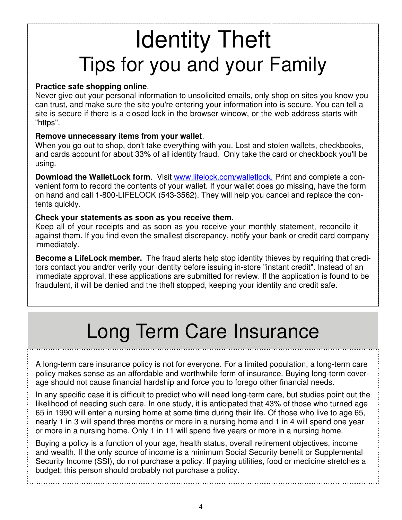## Identity Theft Tips for you and your Family

#### **Practice safe shopping online**.

Never give out your personal information to unsolicited emails, only shop on sites you know you can trust, and make sure the site you're entering your information into is secure. You can tell a site is secure if there is a closed lock in the browser window, or the web address starts with "https".

#### **Remove unnecessary items from your wallet**.

When you go out to shop, don't take everything with you. Lost and stolen wallets, checkbooks, and cards account for about 33% of all identity fraud. Only take the card or checkbook you'll be using.

**Download the WalletLock form.** Visit www.lifelock.com/walletlock. Print and complete a convenient form to record the contents of your wallet. If your wallet does go missing, have the form on hand and call 1-800-LIFELOCK (543-3562). They will help you cancel and replace the contents quickly.

#### **Check your statements as soon as you receive them**.

Keep all of your receipts and as soon as you receive your monthly statement, reconcile it against them. If you find even the smallest discrepancy, notify your bank or credit card company immediately.

**Become a LifeLock member.** The fraud alerts help stop identity thieves by requiring that creditors contact you and/or verify your identity before issuing in-store "instant credit". Instead of an immediate approval, these applications are submitted for review. If the application is found to be fraudulent, it will be denied and the theft stopped, keeping your identity and credit safe.

## Long Term Care Insurance

A long-term care insurance policy is not for everyone. For a limited population, a long-term care policy makes sense as an affordable and worthwhile form of insurance. Buying long-term coverage should not cause financial hardship and force you to forego other financial needs.

In any specific case it is difficult to predict who will need long-term care, but studies point out the likelihood of needing such care. In one study, it is anticipated that 43% of those who turned age 65 in 1990 will enter a nursing home at some time during their life. Of those who live to age 65, nearly 1 in 3 will spend three months or more in a nursing home and 1 in 4 will spend one year or more in a nursing home. Only 1 in 11 will spend five years or more in a nursing home.

Buying a policy is a function of your age, health status, overall retirement objectives, income and wealth. If the only source of income is a minimum Social Security benefit or Supplemental Security Income (SSI), do not purchase a policy. If paying utilities, food or medicine stretches a budget; this person should probably not purchase a policy.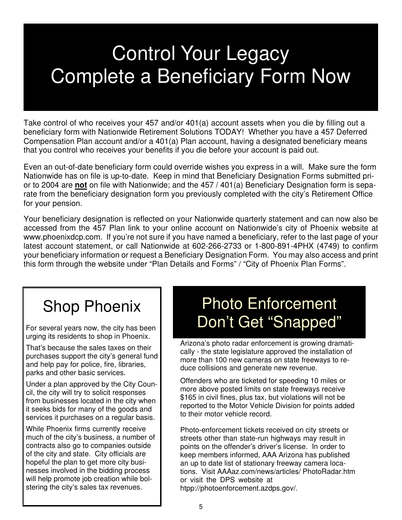## Control Your Legacy Complete a Beneficiary Form Now

Take control of who receives your 457 and/or 401(a) account assets when you die by filling out a beneficiary form with Nationwide Retirement Solutions TODAY! Whether you have a 457 Deferred Compensation Plan account and/or a 401(a) Plan account, having a designated beneficiary means that you control who receives your benefits if you die before your account is paid out.

Even an out-of-date beneficiary form could override wishes you express in a will. Make sure the form Nationwide has on file is up-to-date. Keep in mind that Beneficiary Designation Forms submitted prior to 2004 are **not** on file with Nationwide; and the 457 / 401(a) Beneficiary Designation form is separate from the beneficiary designation form you previously completed with the city's Retirement Office for your pension.

Your beneficiary designation is reflected on your Nationwide quarterly statement and can now also be accessed from the 457 Plan link to your online account on Nationwide's city of Phoenix website at www.phoenixdcp.com. If you're not sure if you have named a beneficiary, refer to the last page of your latest account statement, or call Nationwide at 602-266-2733 or 1-800-891-4PHX (4749) to confirm your beneficiary information or request a Beneficiary Designation Form. You may also access and print this form through the website under "Plan Details and Forms" / "City of Phoenix Plan Forms".

### Shop Phoenix

For several years now, the city has been urging its residents to shop in Phoenix.

That's because the sales taxes on their purchases support the city's general fund and help pay for police, fire, libraries, parks and other basic services.

Under a plan approved by the City Council, the city will try to solicit responses from businesses located in the city when it seeks bids for many of the goods and services it purchases on a regular basis.

While Phoenix firms currently receive much of the city's business, a number of contracts also go to companies outside of the city and state. City officials are hopeful the plan to get more city businesses involved in the bidding process will help promote job creation while bolstering the city's sales tax revenues.

### Photo Enforcement Don't Get "Snapped"

Arizona's photo radar enforcement is growing dramatically - the state legislature approved the installation of more than 100 new cameras on state freeways to reduce collisions and generate new revenue.

Offenders who are ticketed for speeding 10 miles or more above posted limits on state freeways receive \$165 in civil fines, plus tax, but violations will not be reported to the Motor Vehicle Division for points added to their motor vehicle record.

Photo-enforcement tickets received on city streets or streets other than state-run highways may result in points on the offender's driver's license. In order to keep members informed, AAA Arizona has published an up to date list of stationary freeway camera locations. Visit AAAaz.com/news/articles/ PhotoRadar.htm or visit the DPS website at htpp://photoenforcement.azdps.gov/.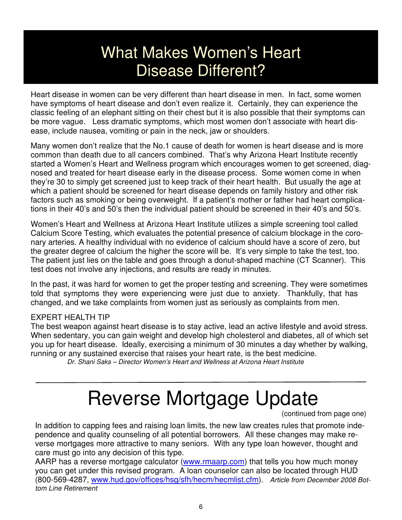### What Makes Women's Heart Disease Different?

Heart disease in women can be very different than heart disease in men. In fact, some women have symptoms of heart disease and don't even realize it. Certainly, they can experience the classic feeling of an elephant sitting on their chest but it is also possible that their symptoms can be more vague. Less dramatic symptoms, which most women don't associate with heart disease, include nausea, vomiting or pain in the neck, jaw or shoulders.

Many women don't realize that the No.1 cause of death for women is heart disease and is more common than death due to all cancers combined. That's why Arizona Heart Institute recently started a Women's Heart and Wellness program which encourages women to get screened, diagnosed and treated for heart disease early in the disease process. Some women come in when they're 30 to simply get screened just to keep track of their heart health. But usually the age at which a patient should be screened for heart disease depends on family history and other risk factors such as smoking or being overweight. If a patient's mother or father had heart complications in their 40's and 50's then the individual patient should be screened in their 40's and 50's.

Women's Heart and Wellness at Arizona Heart Institute utilizes a simple screening tool called Calcium Score Testing, which evaluates the potential presence of calcium blockage in the coronary arteries. A healthy individual with no evidence of calcium should have a score of zero, but the greater degree of calcium the higher the score will be. It's very simple to take the test, too. The patient just lies on the table and goes through a donut-shaped machine (CT Scanner). This test does not involve any injections, and results are ready in minutes.

In the past, it was hard for women to get the proper testing and screening. They were sometimes told that symptoms they were experiencing were just due to anxiety. Thankfully, that has changed, and we take complaints from women just as seriously as complaints from men.

#### EXPERT HEALTH TIP

The best weapon against heart disease is to stay active, lead an active lifestyle and avoid stress. When sedentary, you can gain weight and develop high cholesterol and diabetes, all of which set you up for heart disease. Ideally, exercising a minimum of 30 minutes a day whether by walking, running or any sustained exercise that raises your heart rate, is the best medicine.

Dr. Shani Saks – Director Women's Heart and Wellness at Arizona Heart Institute

### Reverse Mortgage Update

(continued from page one)

In addition to capping fees and raising loan limits, the new law creates rules that promote independence and quality counseling of all potential borrowers. All these changes may make reverse mortgages more attractive to many seniors. With any type loan however, thought and care must go into any decision of this type.

AARP has a reverse mortgage calculator (www.rmaarp.com) that tells you how much money you can get under this revised program. A loan counselor can also be located through HUD (800-569-4287, www.hud.gov/offices/hsg/sfh/hecm/hecmlist.cfm). Article from December 2008 Bottom Line Retirement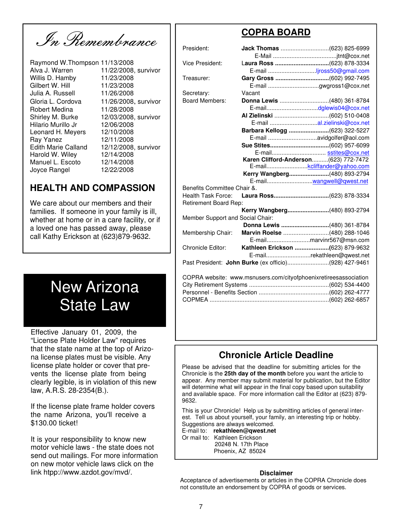In Remembrance

### **HEALTH AND COMPASSION**

We care about our members and their families. If someone in your family is ill, whether at home or in a care facility, or if a loved one has passed away, please call Kathy Erickson at (623)879-9632.

### New Arizona State Law

Effective January 01, 2009, the "License Plate Holder Law" requires that the state name at the top of Arizona license plates must be visible. Any license plate holder or cover that prevents the license plate from being clearly legible, is in violation of this new law, A.R.S. 28-2354(B.).

If the license plate frame holder covers the name Arizona, you'll receive a \$130.00 ticket!

It is your responsibility to know new motor vehicle laws - the state does not send out mailings. For more information on new motor vehicle laws click on the link htpp://www.azdot.gov/mvd/.

### **COPRA BOARD**

| President:                       |                                                                  |                             |  |
|----------------------------------|------------------------------------------------------------------|-----------------------------|--|
|                                  |                                                                  |                             |  |
| <b>Vice President:</b>           | Laura Ross (623) 878-3334                                        |                             |  |
|                                  |                                                                  |                             |  |
| Treasurer:                       | Gary Gross (602) 992-7495                                        |                             |  |
|                                  |                                                                  |                             |  |
| Secretary:                       | Vacant                                                           |                             |  |
| <b>Board Members:</b>            | Donna Lewis (480) 361-8784                                       |                             |  |
|                                  |                                                                  |                             |  |
|                                  |                                                                  |                             |  |
|                                  |                                                                  | E-mail al.zielinski@cox.net |  |
|                                  | Barbara Kellogg (623) 322-5227                                   |                             |  |
|                                  |                                                                  | E-mail avidgolfer@aol.com   |  |
|                                  |                                                                  |                             |  |
|                                  |                                                                  |                             |  |
|                                  | Karen Clifford-Anderson (623) 772-7472                           |                             |  |
|                                  |                                                                  | E-mailkcliffander@yahoo.com |  |
|                                  | Kerry Wangberg(480) 893-2794                                     |                             |  |
|                                  |                                                                  | E-mailwangwell@qwest.net    |  |
| Benefits Committee Chair &.      |                                                                  |                             |  |
| <b>Health Task Force:</b>        |                                                                  |                             |  |
| Retirement Board Rep:            |                                                                  |                             |  |
|                                  | Kerry Wangberg(480) 893-2794                                     |                             |  |
| Member Support and Social Chair: |                                                                  |                             |  |
|                                  | Donna Lewis (480) 361-8784                                       |                             |  |
| Membership Chair:                | Marvin Roelse (480) 288-1046                                     |                             |  |
|                                  |                                                                  | E-mailmarvinr567@msn.com    |  |
| <b>Chronicle Editor:</b>         | Kathleen Erickson (623) 879-9632                                 |                             |  |
|                                  |                                                                  | E-mailrekathleen@qwest.net  |  |
|                                  | Past President: John Burke (ex officio)(928) 427-9461            |                             |  |
|                                  | COPRA website: www.msnusers.com/cityofphoenixretireesassociation |                             |  |
|                                  |                                                                  |                             |  |
|                                  |                                                                  |                             |  |
|                                  |                                                                  |                             |  |
|                                  |                                                                  |                             |  |

### **Chronicle Article Deadline**

Please be advised that the deadline for submitting articles for the Chronicle is the **25th day of the month** before you want the article to appear. Any member may submit material for publication, but the Editor will determine what will appear in the final copy based upon suitability and available space. For more information call the Editor at (623) 879- 9632.

This is your Chronicle! Help us by submitting articles of general interest. Tell us about yourself, your family, an interesting trip or hobby. Suggestions are always welcomed.

E-mail to: **rekathleen@qwest.net** Or mail to: Kathleen Erickson

20248 N. 17th Place

Phoenix, AZ 85024

#### **Disclaimer**

Acceptance of advertisements or articles in the COPRA Chronicle does not constitute an endorsement by COPRA of goods or services.